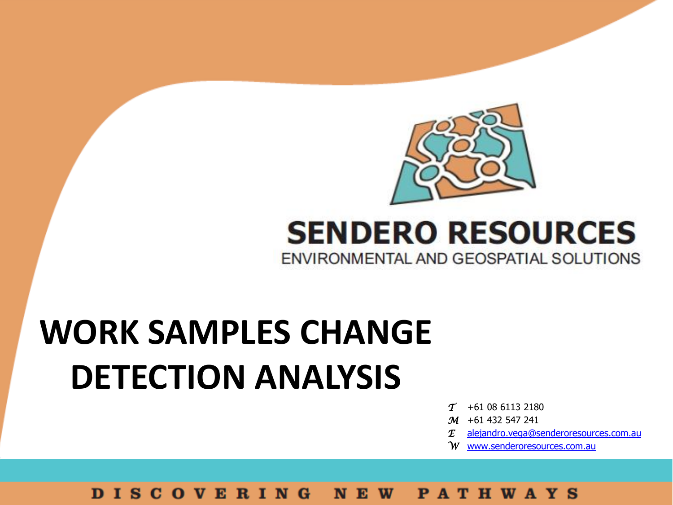

## **SENDERO RESOURCES** ENVIRONMENTAL AND GEOSPATIAL SOLUTIONS

# **WORK SAMPLES CHANGE DETECTION ANALYSIS**

- *T* +61 08 6113 2180
- *M* +61 432 547 241
- *E* [alejandro.vega@senderoresources.com.au](mailto:alejandro.vega@senderoresources.com.au)
- *W* [www.senderoresources.com.au](http://www.senderoresources.com.au/)

#### **DISCOVERING PATHWAYS** NEW<sub></sub>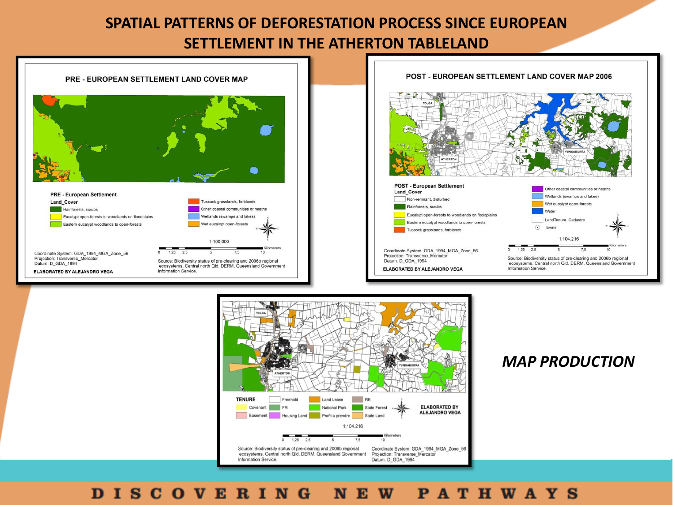



#### *MAP PRODUCTION*

### DISCOVERING NEW PATHWAYS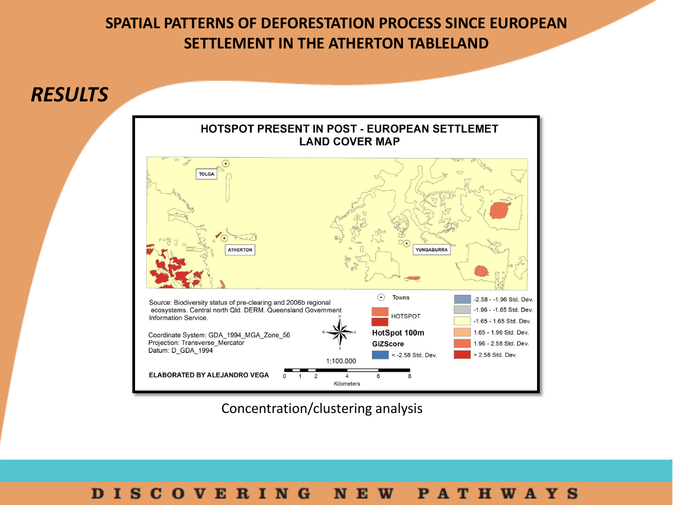

Concentration/clustering analysis

#### DISCOVERING NEW PATHWAYS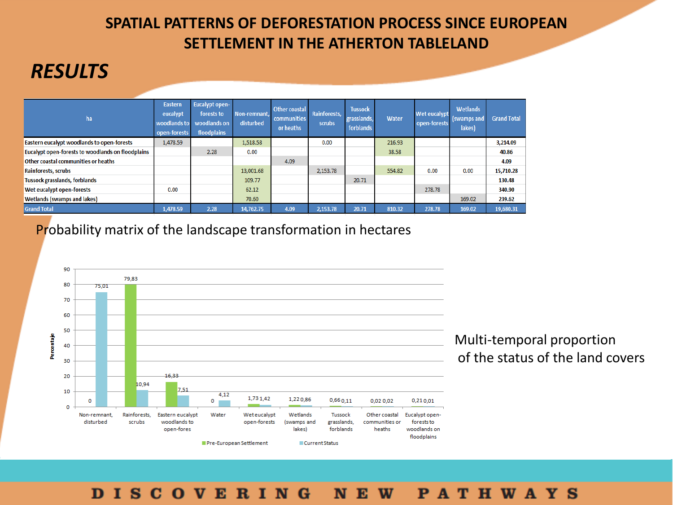### *RESULTS*

| ha                                                       | Eastern<br>eucalypt<br>open-forests | <b>Eucalypt open-</b><br>forests to<br>woodlands to woodlands on<br>floodplains | Non-remnant.<br>disturbed | <b>Other coastal</b><br>communities<br>or heaths | Rainforests.<br>scrubs | <b>Tussock</b><br>grasslands,<br>forblands | Water  | Wet eucalypt<br>open-forests | Wetlands<br>(swamps and<br>lakes) | <b>Grand Total</b> |
|----------------------------------------------------------|-------------------------------------|---------------------------------------------------------------------------------|---------------------------|--------------------------------------------------|------------------------|--------------------------------------------|--------|------------------------------|-----------------------------------|--------------------|
| Eastern eucalypt woodlands to open-forests               | 1,478.59                            |                                                                                 | 1,518.58                  |                                                  | 0.00                   |                                            | 216.93 |                              |                                   | 3.214.09           |
| <b>Eucalypt open-forests to woodlands on floodplains</b> |                                     | 2.28                                                                            | 0.00                      |                                                  |                        |                                            | 38.58  |                              |                                   | 40.86              |
| Other coastal communities or heaths                      |                                     |                                                                                 |                           | 4.09                                             |                        |                                            |        |                              |                                   | 4.09               |
| <b>Rainforests, scrubs</b>                               |                                     |                                                                                 | 13,001.68                 |                                                  | 2,153.78               |                                            | 554.82 | 0.00                         | 0.00                              | 15,710.28          |
| Tussock grasslands, forblands                            |                                     |                                                                                 | 109.77                    |                                                  |                        | 20.71                                      |        |                              |                                   | 130.48             |
| Wet eucalypt open-forests                                | 0.00                                |                                                                                 | 62.12                     |                                                  |                        |                                            |        | 278.78                       |                                   | 340.90             |
| <b>Wetlands (swamps and lakes)</b>                       |                                     |                                                                                 | 70.60                     |                                                  |                        |                                            |        |                              | 169.02                            | 239.62             |
| <b>Grand Total</b>                                       | 1.478.59                            | 2.28                                                                            | 14.762.75                 | 4.09                                             | 2.153.78               | 20.71                                      | 810.32 | 278.78                       | 169.02                            | 19,680.31          |

Probability matrix of the landscape transformation in hectares



#### **DISCOVERING NEW PATHWAYS**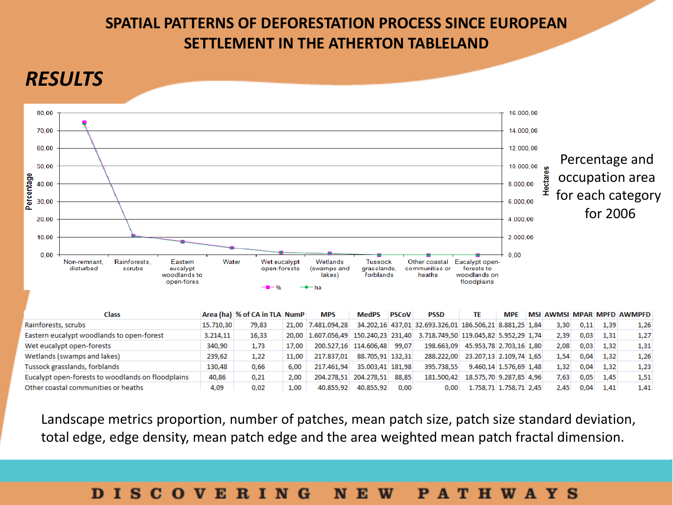### *RESULTS*



| Class                                             |           | Area (ha) % of CA in TLA NumP |       | <b>MPS</b>         | <b>MedPS</b>                | <b>PSCoV</b> | PSSD                                                                       | TE                      | <b>MPE</b>             |      |      |      | MSI AWMSI MPAR MPFD AWMPFD |
|---------------------------------------------------|-----------|-------------------------------|-------|--------------------|-----------------------------|--------------|----------------------------------------------------------------------------|-------------------------|------------------------|------|------|------|----------------------------|
| Rainforests, scrubs                               | 15.710.30 | 79.83                         |       | 21,00 7.481,094,28 |                             |              | 34.202,16 437,01 32.693.326,01 186.506,21 8.881,25 1,84                    |                         |                        | 3,30 | 0.11 | 1,39 | 1,26                       |
| Eastern eucalypt woodlands to open-forest         | 3.214,11  | 16,33                         |       |                    |                             |              | 20,00 1.607.056,49 150.240,23 231,40 3.718.749,50 119.045,82 5.952,29 1.74 |                         |                        | 2,39 | 0,03 | 1,31 | 1,27                       |
| Wet eucalypt open-forests                         | 340,90    | 1,73                          | 17,00 |                    | 200.527,16 114.606,48 99,07 |              | 198.663,09                                                                 | 45.953,78 2.703,16 1,80 |                        | 2,08 | 0,03 | 1,32 | 1,31                       |
| Wetlands (swamps and lakes)                       | 239,62    | 1,22                          | 11,00 | 217.837.01         | 88.705,91 132,31            |              | 288.222.00                                                                 | 23.207,13 2.109,74 1,65 |                        | 1.54 | 0,04 | 1,32 | 1,26                       |
| Tussock grasslands, forblands                     | 130,48    | 0.66                          | 6.00  | 217.461.94         | 35.003.41 181.98            |              | 395.738.55                                                                 | 9.460,14 1.576,69 1,48  |                        | 1.32 | 0.04 | 1.32 | 1,23                       |
| Eucalypt open-forests to woodlands on floodplains | 40,86     | 0,21                          | 2,00  |                    | 204.278.51 204.278.51       | 88.85        | 181.500.42                                                                 | 18.575.70 9.287.85 4.96 |                        | 7.63 | 0.05 | 1.45 | 1,51                       |
| Other coastal communities or heaths               | 4,09      | 0.02                          | 1,00  | 40.855.92          | 40.855.92                   | 0.00         | 0.00                                                                       |                         | 1.758,71 1.758,71 2,45 | 2.45 | 0.04 | 1.41 | 1,41                       |

Landscape metrics proportion, number of patches, mean patch size, patch size standard deviation, total edge, edge density, mean patch edge and the area weighted mean patch fractal dimension.

#### **DISCOVERING** N E W **PATHWAYS**